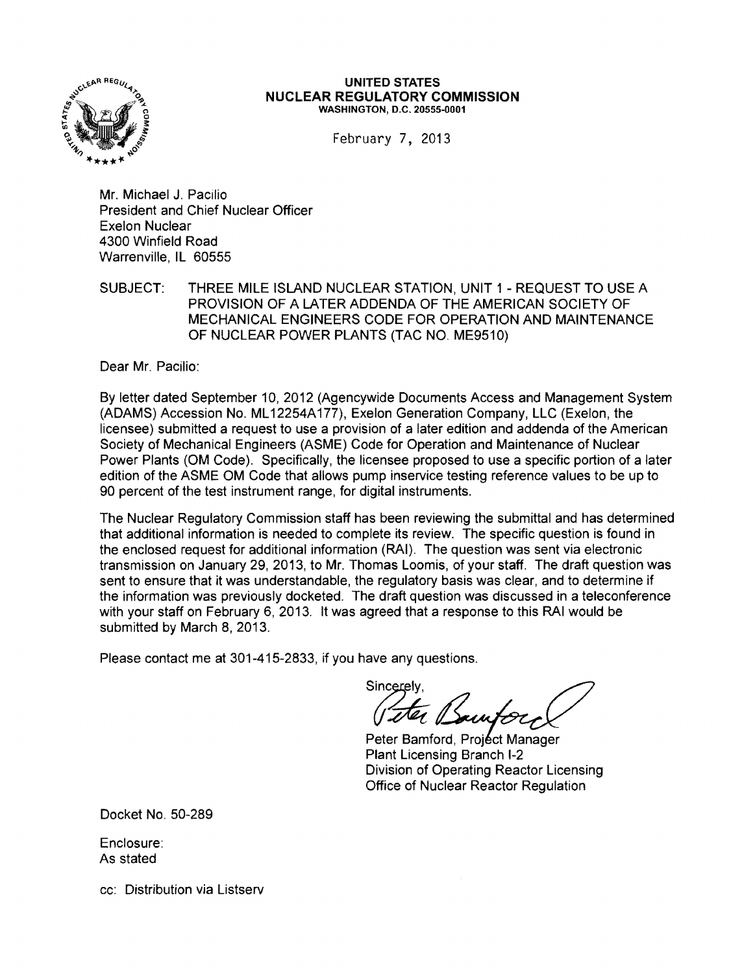

#### UNITED STATES **NUCLEAR REGULATORY COMMISSION**  WASHINGTON, D.C. 20555-0001

February 7, 2013

Mr. Michael J. Pacilio President and Chief Nuclear Officer Exelon Nuclear 4300 Winfield Road Warrenville, IL 60555

SUBJECT: THREE MILE ISLAND NUCLEAR STATION, UNIT 1 - REQUEST TO USE A PROVISION OF A LATER ADDENDA OF THE AMERICAN SOCIETY OF MECHANICAL ENGINEERS CODE FOR OPERATION AND MAINTENANCE OF NUCLEAR POWER PLANTS (TAC NO. ME9510)

Dear Mr. Pacilio:

By letter dated September 10,2012 (Agencywide Documents Access and Management System (ADAMS) Accession No. ML 12254A177), Exelon Generation Company, LLC (Exelon, the licensee) submitted a request to use a provision of a later edition and addenda of the American Society of Mechanical Engineers (ASME) Code for Operation and Maintenance of Nuclear Power Plants (OM Code). Specifically, the licensee proposed to use a specific portion of a later edition of the ASME OM Code that allows pump inservice testing reference values to be up to 90 percent of the test instrument range, for digital instruments.

The Nuclear Regulatory Commission staff has been reviewing the submittal and has determined that additional information is needed to complete its review. The specific question is found in the enclosed request for additional information (RAI). The question was sent via electronic transmission on January 29, 2013, to Mr. Thomas Loomis, of your staff. The draft question was sent to ensure that it was understandable, the regulatory basis was clear, and to determine if the information was previously docketed. The draft question was discussed in a teleconference with your staff on February 6, 2013. It was agreed that a response to this RAI would be submitted by March 8, 2013.

Please contact me at 301-415-2833, if you have any questions.

Sincerely. S~y*\_\_*~\_

Peter Bamford, Project Manager Plant Licensing Branch I-2 Division of Operating Reactor Licensing Office of Nuclear Reactor Regulation

Docket No. 50-289

Enclosure: As stated

cc: Distribution via Listserv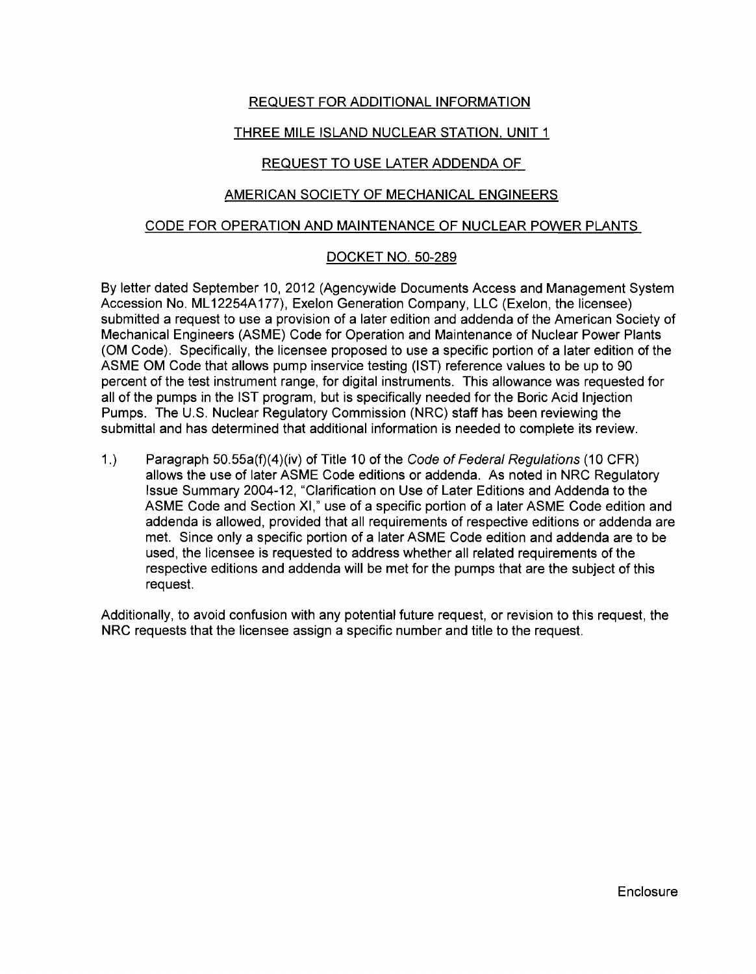# REQUEST FOR ADDITIONAL INFORMATION

# THREE MILE ISLAND NUCLEAR STATION. UNIT 1

## REQUEST TO USE LATER ADDENDA OF

## AMERICAN SOCIETY OF MECHANICAL ENGINEERS

### CODE FOR OPERATION AND MAINTENANCE OF NUCLEAR POWER PLANTS

## DOCKET NO. 50-289

By letter dated September 10, 2012 (Agencywide Documents Access and Management System Accession No. ML 12254A177), Exelon Generation Company, LLC (Exelon, the licensee) submitted a request to use a provision of a later edition and addenda of the American Society of Mechanical Engineers (ASME) Code for Operation and Maintenance of Nuclear Power Plants (OM Code). Specifically, the licensee proposed to use a specific portion of a later edition of the ASME OM Code that allows pump inservice testing (IST) reference values to be up to 90 percent of the test instrument range, for digital instruments. This allowance was requested for all of the pumps in the 1ST program, but is specifically needed for the Boric Acid Injection Pumps. The U.S. Nuclear Regulatory Commission (NRC) staff has been reviewing the submittal and has determined that additional information is needed to complete its review.

1.) Paragraph 50.55a(f)(4)(iv) of Title 10 of the Code of Federal Regulations (10 CFR) allows the use of later ASME Code editions or addenda. As noted in NRC Regulatory Issue Summary 2004-12, "Clarification on Use of Later Editions and Addenda to the ASME Code and Section XI," use of a specific portion of a later ASME Code edition and addenda is allowed, provided that all requirements of respective editions or addenda are met. Since only a specific portion of a later ASME Code edition and addenda are to be used, the licensee is requested to address whether all related requirements of the respective editions and addenda will be met for the pumps that are the subject of this request.

Additionally, to avoid confusion with any potential future request, or revision to this request, the NRC requests that the licensee assign a specific number and title to the request.